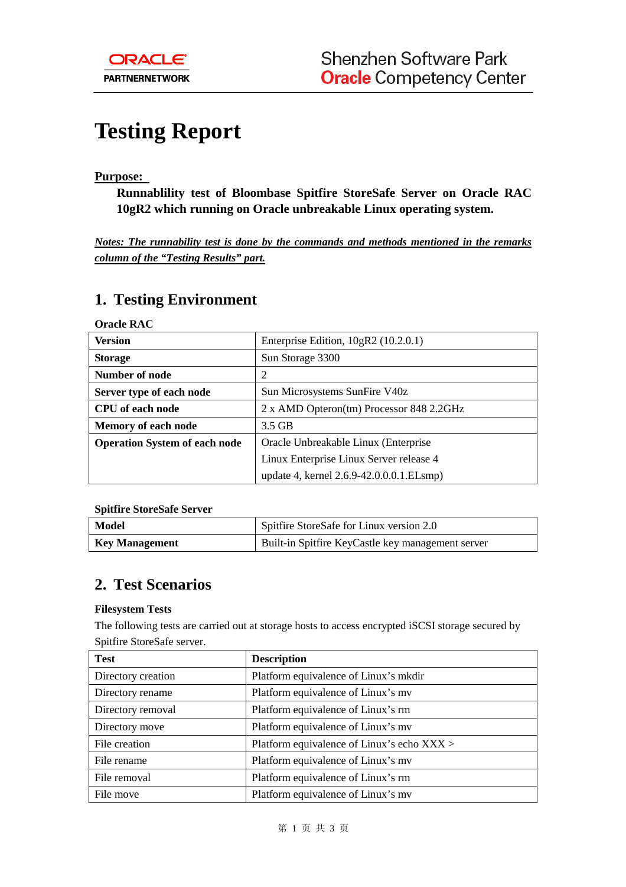# **Testing Report**

֦

#### **Purpose:**

**Runnablility test of Bloombase Spitfire StoreSafe Server on Oracle RAC 10gR2 which running on Oracle unbreakable Linux operating system.** 

*Notes: The runnability test is done by the commands and methods mentioned in the remarks column of the "Testing Results" part.*

### **1. Testing Environment**

**Oracle RAC** 

| <b>Version</b>                       | Enterprise Edition, $10gR2$ (10.2.0.1)   |  |  |
|--------------------------------------|------------------------------------------|--|--|
| <b>Storage</b>                       | Sun Storage 3300                         |  |  |
| Number of node                       | 2                                        |  |  |
| Server type of each node             | Sun Microsystems SunFire V40z            |  |  |
| <b>CPU</b> of each node              | 2 x AMD Opteron(tm) Processor 848 2.2GHz |  |  |
| <b>Memory of each node</b>           | $3.5$ GB                                 |  |  |
| <b>Operation System of each node</b> | Oracle Unbreakable Linux (Enterprise     |  |  |
|                                      | Linux Enterprise Linux Server release 4  |  |  |
|                                      | update 4, kernel 2.6.9-42.0.0.0.1.ELsmp) |  |  |

**Spitfire StoreSafe Server** 

| Model          | Spitfire StoreSafe for Linux version 2.0          |  |
|----------------|---------------------------------------------------|--|
| Key Management | Built-in Spitfire KeyCastle key management server |  |

### **2. Test Scenarios**

#### **Filesystem Tests**

The following tests are carried out at storage hosts to access encrypted iSCSI storage secured by Spitfire StoreSafe server.

| <b>Test</b>        | <b>Description</b>                         |  |  |
|--------------------|--------------------------------------------|--|--|
| Directory creation | Platform equivalence of Linux's mkdir      |  |  |
| Directory rename   | Platform equivalence of Linux's my         |  |  |
| Directory removal  | Platform equivalence of Linux's rm         |  |  |
| Directory move     | Platform equivalence of Linux's mv         |  |  |
| File creation      | Platform equivalence of Linux's echo XXX > |  |  |
| File rename        | Platform equivalence of Linux's my         |  |  |
| File removal       | Platform equivalence of Linux's rm         |  |  |
| File move          | Platform equivalence of Linux's mv         |  |  |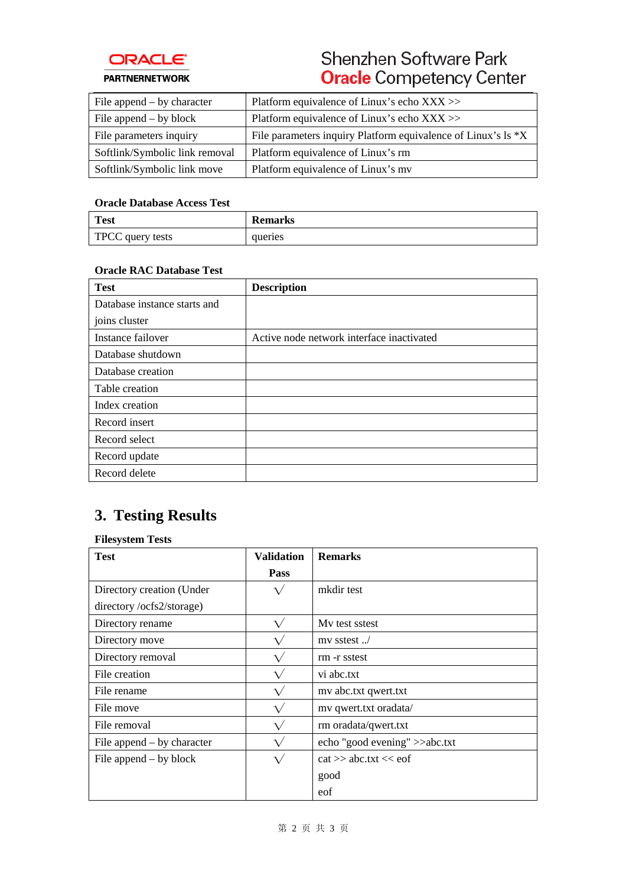

## Shenzhen Software Park **Oracle** Competency Center

| File append $-$ by character   | Platform equivalence of Linux's echo $XXX$                    |
|--------------------------------|---------------------------------------------------------------|
| File append $-$ by block       | Platform equivalence of Linux's echo XXX >>                   |
| File parameters inquiry        | File parameters inquiry Platform equivalence of Linux's ls *X |
| Softlink/Symbolic link removal | Platform equivalence of Linux's rm                            |
| Softlink/Symbolic link move    | Platform equivalence of Linux's my                            |

#### **Oracle Database Access Test**

| <b>Test</b>             | <b>Remarks</b> |
|-------------------------|----------------|
| <b>TPCC</b> query tests | queries        |

#### **Oracle RAC Database Test**

| <b>Test</b>                  | <b>Description</b>                        |
|------------------------------|-------------------------------------------|
| Database instance starts and |                                           |
| joins cluster                |                                           |
| Instance failover            | Active node network interface inactivated |
| Database shutdown            |                                           |
| Database creation            |                                           |
| Table creation               |                                           |
| Index creation               |                                           |
| Record insert                |                                           |
| Record select                |                                           |
| Record update                |                                           |
| Record delete                |                                           |

### **3. Testing Results**

#### **Filesystem Tests**

| <b>Test</b>                  | <b>Validation</b> | <b>Remarks</b>                |
|------------------------------|-------------------|-------------------------------|
|                              | Pass              |                               |
| Directory creation (Under    |                   | mkdir test                    |
| directory/ocfs2/storage)     |                   |                               |
| Directory rename             | $\sqrt{}$         | My test sstest                |
| Directory move               | $\sqrt{}$         | $mv$ sstest                   |
| Directory removal            |                   | rm -r sstest                  |
| File creation                |                   | vi abc.txt                    |
| File rename                  | $\sqrt{}$         | my abc.txt qwert.txt          |
| File move                    |                   | mv qwert.txt oradata/         |
| File removal                 | $\sqrt{}$         | rm oradata/qwert.txt          |
| File append $-$ by character | $\sqrt{}$         | echo "good evening" >>abc.txt |
| File append $-$ by block     | $\sqrt{}$         | $cat \gg abc.txt \ll eof$     |
|                              |                   | good                          |
|                              |                   | eof                           |